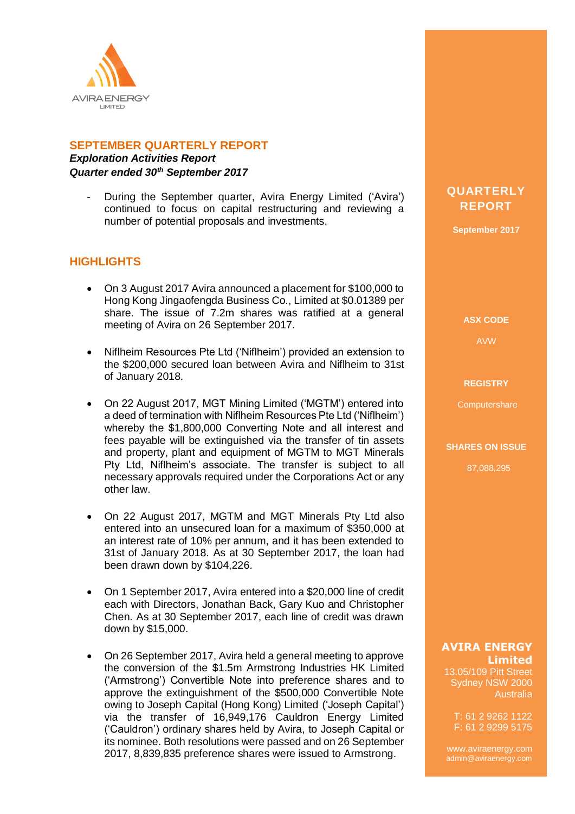

# **SEPTEMBER QUARTERLY REPORT**

*Exploration Activities Report Quarter ended 30th September 2017*

During the September quarter, Avira Energy Limited ('Avira') continued to focus on capital restructuring and reviewing a number of potential proposals and investments.

# **HIGHLIGHTS**

- On 3 August 2017 Avira announced a placement for \$100,000 to Hong Kong Jingaofengda Business Co., Limited at \$0.01389 per share. The issue of 7.2m shares was ratified at a general meeting of Avira on 26 September 2017.
- Niflheim Resources Pte Ltd ('Niflheim') provided an extension to the \$200,000 secured loan between Avira and Niflheim to 31st of January 2018.
- On 22 August 2017, MGT Mining Limited ('MGTM') entered into a deed of termination with Niflheim Resources Pte Ltd ('Niflheim') whereby the \$1,800,000 Converting Note and all interest and fees payable will be extinguished via the transfer of tin assets and property, plant and equipment of MGTM to MGT Minerals Pty Ltd, Niflheim's associate. The transfer is subject to all necessary approvals required under the Corporations Act or any other law.
- On 22 August 2017, MGTM and MGT Minerals Pty Ltd also entered into an unsecured loan for a maximum of \$350,000 at an interest rate of 10% per annum, and it has been extended to 31st of January 2018. As at 30 September 2017, the loan had been drawn down by \$104,226.
- On 1 September 2017, Avira entered into a \$20,000 line of credit each with Directors, Jonathan Back, Gary Kuo and Christopher Chen. As at 30 September 2017, each line of credit was drawn down by \$15,000.
- On 26 September 2017, Avira held a general meeting to approve the conversion of the \$1.5m Armstrong Industries HK Limited ('Armstrong') Convertible Note into preference shares and to approve the extinguishment of the \$500,000 Convertible Note owing to Joseph Capital (Hong Kong) Limited ('Joseph Capital') via the transfer of 16,949,176 Cauldron Energy Limited ('Cauldron') ordinary shares held by Avira, to Joseph Capital or its nominee. Both resolutions were passed and on 26 September 2017, 8,839,835 preference shares were issued to Armstrong.

# **QUARTERLY REPORT**

**September 2017**

**ASX CODE**

AVW

#### **REGISTRY**

**Computershare** 

#### **SHARES ON ISSUE**

87,088,295

## **AVIRA ENERGY Limited**

13.05/109 Pitt Street Sydney NSW 2000 Australia

T: 61 2 9262 1122 F: 61 2 9299 5175

www.aviraenergy.com admin@aviraenergy.com

ABN: 38 131 715 645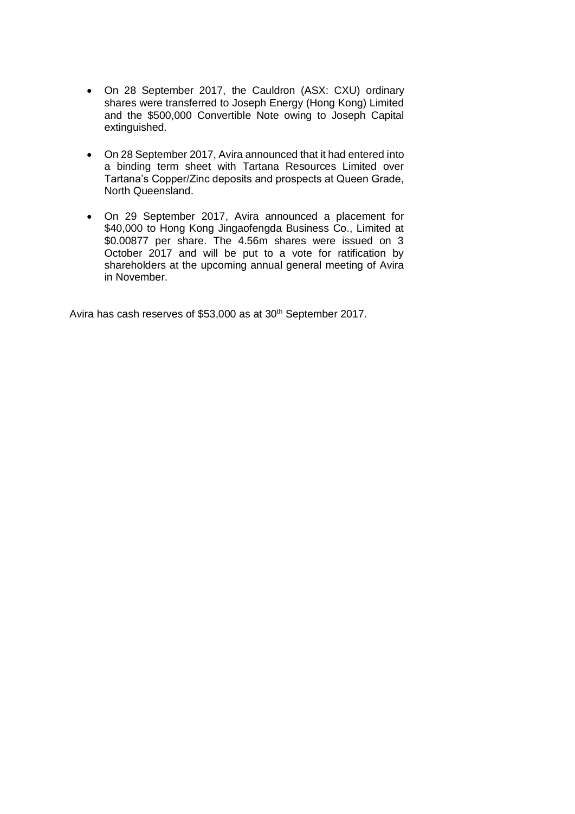- On 28 September 2017, the Cauldron (ASX: CXU) ordinary shares were transferred to Joseph Energy (Hong Kong) Limited and the \$500,000 Convertible Note owing to Joseph Capital extinguished.
- On 28 September 2017, Avira announced that it had entered into a binding term sheet with Tartana Resources Limited over Tartana's Copper/Zinc deposits and prospects at Queen Grade, North Queensland.
- On 29 September 2017, Avira announced a placement for \$40,000 to Hong Kong Jingaofengda Business Co., Limited at \$0.00877 per share. The 4.56m shares were issued on 3 October 2017 and will be put to a vote for ratification by shareholders at the upcoming annual general meeting of Avira in November.

Avira has cash reserves of \$53,000 as at 30<sup>th</sup> September 2017.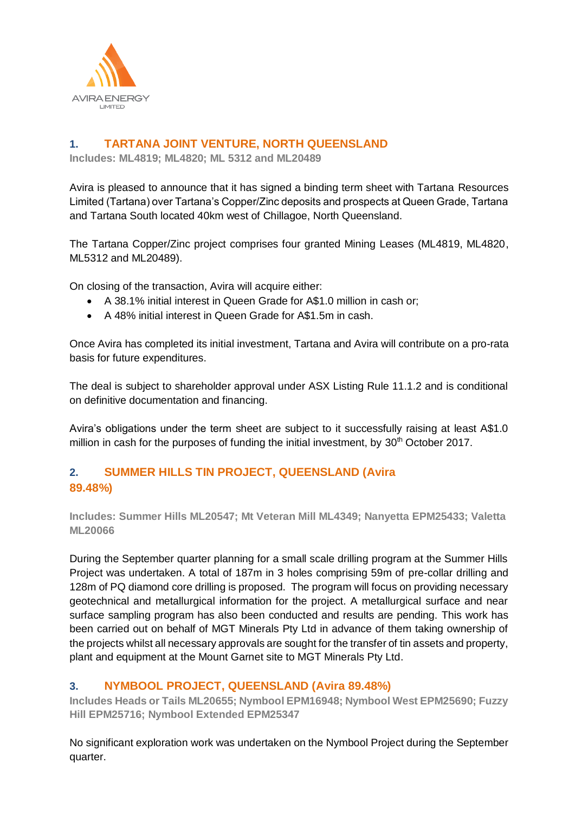

# **1. TARTANA JOINT VENTURE, NORTH QUEENSLAND**

**Includes: ML4819; ML4820; ML 5312 and ML20489**

Avira is pleased to announce that it has signed a binding term sheet with Tartana Resources Limited (Tartana) over Tartana's Copper/Zinc deposits and prospects at Queen Grade, Tartana and Tartana South located 40km west of Chillagoe, North Queensland.

The Tartana Copper/Zinc project comprises four granted Mining Leases (ML4819, ML4820, ML5312 and ML20489).

On closing of the transaction, Avira will acquire either:

- A 38.1% initial interest in Queen Grade for A\$1.0 million in cash or;
- A 48% initial interest in Queen Grade for A\$1.5m in cash.

Once Avira has completed its initial investment, Tartana and Avira will contribute on a pro-rata basis for future expenditures.

The deal is subject to shareholder approval under ASX Listing Rule 11.1.2 and is conditional on definitive documentation and financing.

Avira's obligations under the term sheet are subject to it successfully raising at least A\$1.0 million in cash for the purposes of funding the initial investment, by 30<sup>th</sup> October 2017.

# **2. SUMMER HILLS TIN PROJECT, QUEENSLAND (Avira 89.48%)**

**Includes: Summer Hills ML20547; Mt Veteran Mill ML4349; Nanyetta EPM25433; Valetta ML20066** 

During the September quarter planning for a small scale drilling program at the Summer Hills Project was undertaken. A total of 187m in 3 holes comprising 59m of pre-collar drilling and 128m of PQ diamond core drilling is proposed. The program will focus on providing necessary geotechnical and metallurgical information for the project. A metallurgical surface and near surface sampling program has also been conducted and results are pending. This work has been carried out on behalf of MGT Minerals Pty Ltd in advance of them taking ownership of the projects whilst all necessary approvals are sought for the transfer of tin assets and property, plant and equipment at the Mount Garnet site to MGT Minerals Pty Ltd.

# **3. NYMBOOL PROJECT, QUEENSLAND (Avira 89.48%)**

**Includes Heads or Tails ML20655; Nymbool EPM16948; Nymbool West EPM25690; Fuzzy Hill EPM25716; Nymbool Extended EPM25347**

No significant exploration work was undertaken on the Nymbool Project during the September quarter.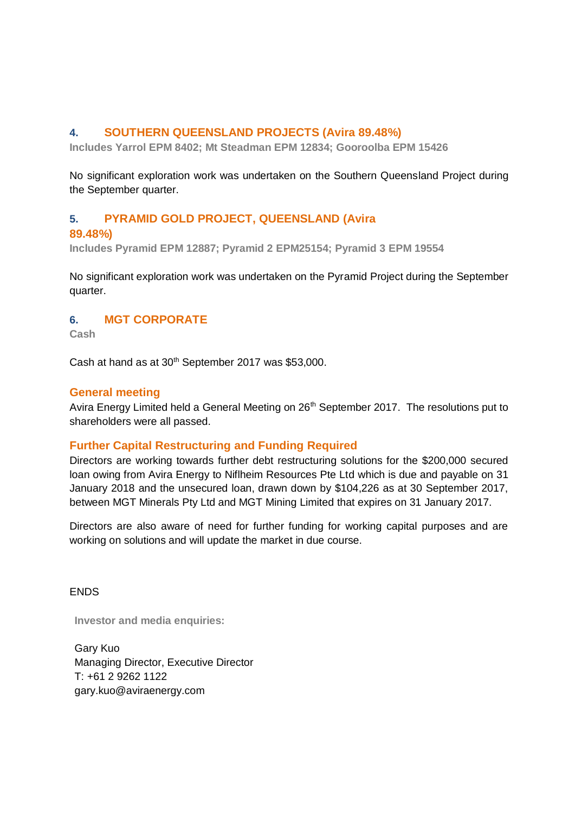## **4. SOUTHERN QUEENSLAND PROJECTS (Avira 89.48%)**

**Includes Yarrol EPM 8402; Mt Steadman EPM 12834; Gooroolba EPM 15426**

No significant exploration work was undertaken on the Southern Queensland Project during the September quarter.

## **5. PYRAMID GOLD PROJECT, QUEENSLAND (Avira**

### **89.48%)**

**Includes Pyramid EPM 12887; Pyramid 2 EPM25154; Pyramid 3 EPM 19554**

No significant exploration work was undertaken on the Pyramid Project during the September quarter.

### **6. MGT CORPORATE**

**Cash**

Cash at hand as at  $30<sup>th</sup>$  September 2017 was \$53,000.

### **General meeting**

Avira Energy Limited held a General Meeting on 26<sup>th</sup> September 2017. The resolutions put to shareholders were all passed.

## **Further Capital Restructuring and Funding Required**

Directors are working towards further debt restructuring solutions for the \$200,000 secured loan owing from Avira Energy to Niflheim Resources Pte Ltd which is due and payable on 31 January 2018 and the unsecured loan, drawn down by \$104,226 as at 30 September 2017, between MGT Minerals Pty Ltd and MGT Mining Limited that expires on 31 January 2017.

Directors are also aware of need for further funding for working capital purposes and are working on solutions and will update the market in due course.

**FNDS** 

**Investor and media enquiries:**

Gary Kuo Managing Director, Executive Director T: +61 2 9262 1122 gary.kuo@aviraenergy.com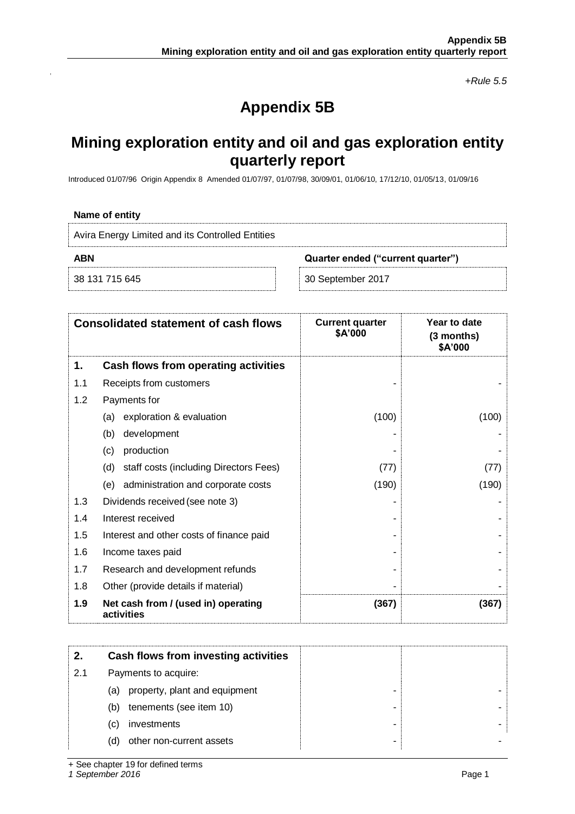*+Rule 5.5*

# **Appendix 5B**

# **Mining exploration entity and oil and gas exploration entity quarterly report**

Introduced 01/07/96 Origin Appendix 8 Amended 01/07/97, 01/07/98, 30/09/01, 01/06/10, 17/12/10, 01/05/13, 01/09/16

#### **Name of entity**

| Avira Energy Limited and its Controlled Entities |                                   |
|--------------------------------------------------|-----------------------------------|
| ABN                                              | Quarter ended ("current quarter") |
| <sup>8</sup> 38 131 715 645                      | 30 September 2017                 |

|     | <b>Consolidated statement of cash flows</b>       | <b>Current quarter</b><br>\$A'000 | Year to date<br>$(3$ months)<br>\$A'000 |
|-----|---------------------------------------------------|-----------------------------------|-----------------------------------------|
| 1.  | Cash flows from operating activities              |                                   |                                         |
| 1.1 | Receipts from customers                           |                                   |                                         |
| 1.2 | Payments for                                      |                                   |                                         |
|     | exploration & evaluation<br>(a)                   | (100)                             | (100)                                   |
|     | development<br>(b)                                |                                   |                                         |
|     | production<br>(c)                                 |                                   |                                         |
|     | staff costs (including Directors Fees)<br>(d)     | (77)                              | (77)                                    |
|     | (e) administration and corporate costs            | (190)                             | (190)                                   |
| 1.3 | Dividends received (see note 3)                   |                                   |                                         |
| 1.4 | Interest received                                 |                                   |                                         |
| 1.5 | Interest and other costs of finance paid          |                                   |                                         |
| 1.6 | Income taxes paid                                 |                                   |                                         |
| 1.7 | Research and development refunds                  |                                   |                                         |
| 1.8 | Other (provide details if material)               |                                   |                                         |
| 1.9 | Net cash from / (used in) operating<br>activities | (367)                             | (367)                                   |

| Cash flows from investing activities |  |
|--------------------------------------|--|
| Payments to acquire:                 |  |
| property, plant and equipment<br>(a) |  |
| tenements (see item 10)<br>(b)       |  |
| investments<br>(C)                   |  |
| other non-current assets<br>(d)      |  |
|                                      |  |

+ See chapter 19 for defined terms

*1 September 2016* Page 1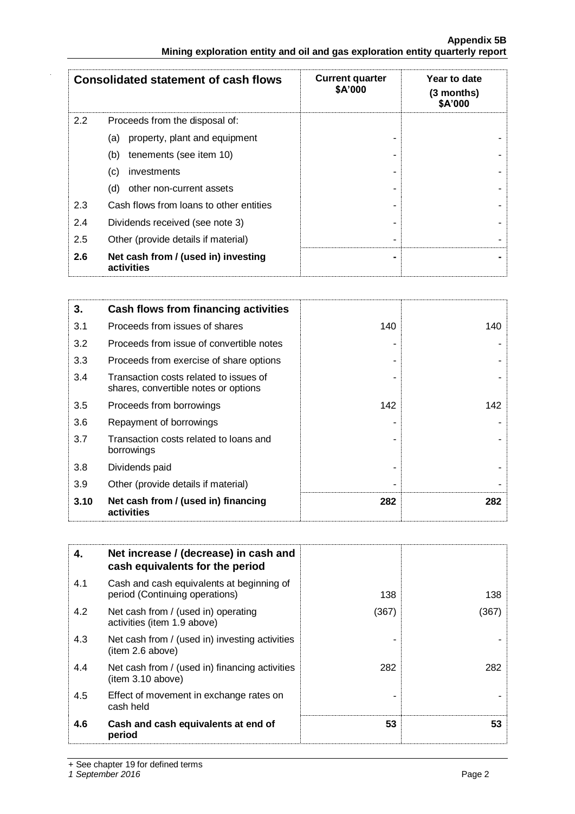|                                                                               | <b>Appendix 5B</b> |
|-------------------------------------------------------------------------------|--------------------|
| Mining exploration entity and oil and gas exploration entity quarterly report |                    |

|     | <b>Consolidated statement of cash flows</b>       | <b>Current quarter</b><br>\$A'000 | Year to date<br>(3 months)<br>\$A'000 |
|-----|---------------------------------------------------|-----------------------------------|---------------------------------------|
| 2.2 | Proceeds from the disposal of:                    |                                   |                                       |
|     | property, plant and equipment<br>(a)              |                                   |                                       |
|     | (b)<br>tenements (see item 10)                    |                                   |                                       |
|     | investments<br>(c)                                |                                   |                                       |
|     | other non-current assets<br>(d)                   |                                   |                                       |
| 2.3 | Cash flows from loans to other entities           |                                   |                                       |
| 2.4 | Dividends received (see note 3)                   |                                   |                                       |
| 2.5 | Other (provide details if material)               |                                   |                                       |
| 2.6 | Net cash from / (used in) investing<br>activities |                                   |                                       |

| 3.   | Cash flows from financing activities                                           |     |     |
|------|--------------------------------------------------------------------------------|-----|-----|
| 3.1  | Proceeds from issues of shares                                                 | 140 | 140 |
| 3.2  | Proceeds from issue of convertible notes                                       |     |     |
| 3.3  | Proceeds from exercise of share options                                        |     |     |
| 3.4  | Transaction costs related to issues of<br>shares, convertible notes or options |     |     |
| 3.5  | Proceeds from borrowings                                                       | 142 | 142 |
| 3.6  | Repayment of borrowings                                                        |     |     |
| 3.7  | Transaction costs related to loans and<br>borrowings                           |     |     |
| 3.8  | Dividends paid                                                                 |     |     |
| 3.9  | Other (provide details if material)                                            |     |     |
| 3.10 | Net cash from / (used in) financing<br>activities                              | 282 | 282 |

| 4.  | Net increase / (decrease) in cash and<br>cash equivalents for the period    |       |      |
|-----|-----------------------------------------------------------------------------|-------|------|
| 4.1 | Cash and cash equivalents at beginning of<br>period (Continuing operations) | 138   | 138  |
| 4.2 | Net cash from / (used in) operating<br>activities (item 1.9 above)          | (367) | (367 |
| 4.3 | Net cash from / (used in) investing activities<br>(item 2.6 above)          |       |      |
| 4.4 | Net cash from / (used in) financing activities<br>(item 3.10 above)         | 282   | 282  |
| 4.5 | Effect of movement in exchange rates on<br>cash held                        |       |      |
| 4.6 | Cash and cash equivalents at end of<br>period                               | 53    | 53   |

+ See chapter 19 for defined terms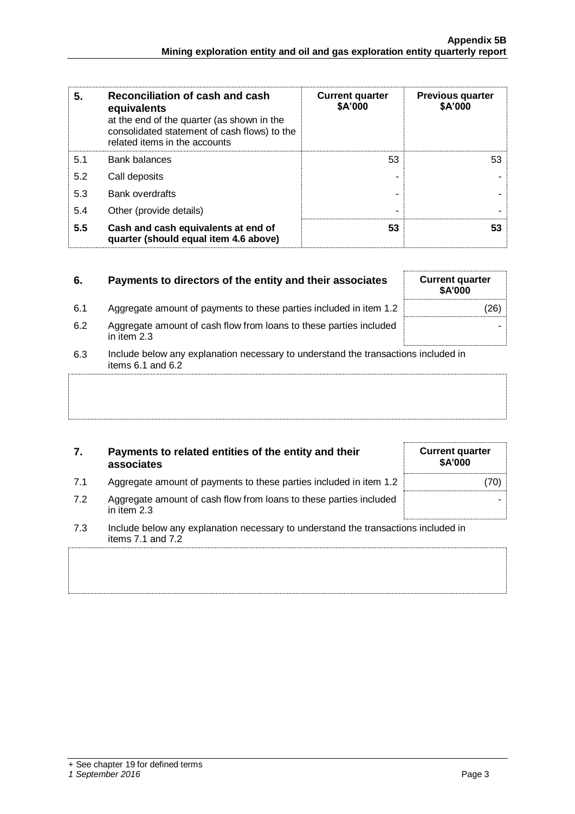| 5.  | Reconciliation of cash and cash<br>equivalents<br>at the end of the quarter (as shown in the<br>consolidated statement of cash flows) to the<br>related items in the accounts | <b>Current quarter</b><br>\$A'000 | <b>Previous quarter</b><br>\$A'000 |
|-----|-------------------------------------------------------------------------------------------------------------------------------------------------------------------------------|-----------------------------------|------------------------------------|
| 5.1 | <b>Bank balances</b>                                                                                                                                                          | 53                                | 53                                 |
| 5.2 | Call deposits                                                                                                                                                                 |                                   |                                    |
| 5.3 | <b>Bank overdrafts</b>                                                                                                                                                        |                                   |                                    |
| 5.4 | Other (provide details)                                                                                                                                                       | -                                 |                                    |
| 5.5 | Cash and cash equivalents at end of<br>quarter (should equal item 4.6 above)                                                                                                  | 53                                | 53                                 |

| 6.  | Payments to directors of the entity and their associates                                                | <b>Current quarter</b><br>\$A'000 |
|-----|---------------------------------------------------------------------------------------------------------|-----------------------------------|
| 6.1 | Aggregate amount of payments to these parties included in item 1.2                                      | 26)                               |
| 6.2 | Aggregate amount of cash flow from loans to these parties included<br>in item 2.3                       |                                   |
| 6.3 | Include below any explanation necessary to understand the transactions included in<br>items 6.1 and 6.2 |                                   |
|     |                                                                                                         |                                   |
|     |                                                                                                         |                                   |

| 7.  | Payments to related entities of the entity and their<br>associates                                      | <b>Current quarter</b><br>\$A'000 |
|-----|---------------------------------------------------------------------------------------------------------|-----------------------------------|
| 7.1 | Aggregate amount of payments to these parties included in item 1.2                                      | 70)                               |
| 7.2 | Aggregate amount of cash flow from loans to these parties included<br>in item $2.3$                     |                                   |
| 7.3 | Include below any explanation necessary to understand the transactions included in<br>items 7.1 and 7.2 |                                   |
|     |                                                                                                         |                                   |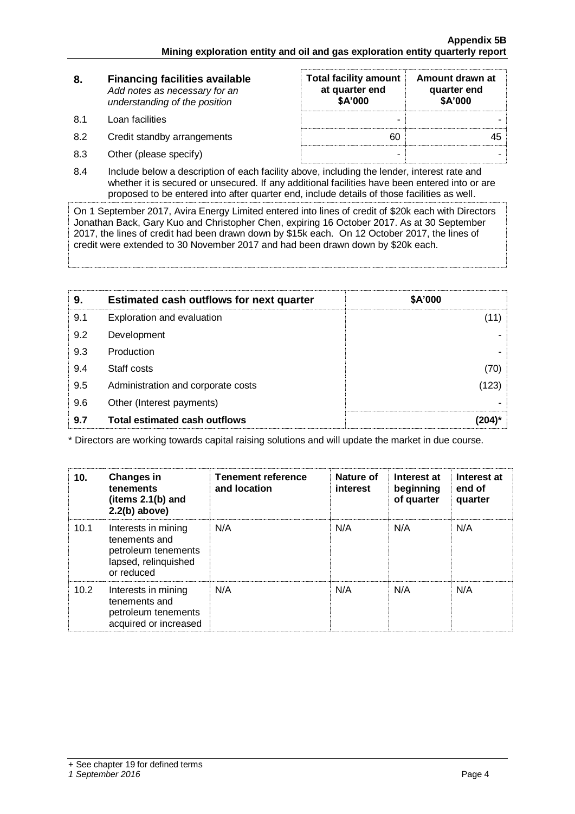| 8.  | <b>Financing facilities available</b><br>Add notes as necessary for an<br>understanding of the position | <b>Total facility amount</b><br>at quarter end<br>\$A'000 | Amount drawn at<br>quarter end<br>\$A'000 |
|-----|---------------------------------------------------------------------------------------------------------|-----------------------------------------------------------|-------------------------------------------|
| -81 | Loan facilities                                                                                         | -                                                         |                                           |
| 8.2 | Credit standby arrangements                                                                             | 60                                                        |                                           |
| 8.3 | Other (please specify)                                                                                  | $\overline{\phantom{0}}$                                  |                                           |

8.4 Include below a description of each facility above, including the lender, interest rate and whether it is secured or unsecured. If any additional facilities have been entered into or are proposed to be entered into after quarter end, include details of those facilities as well.

On 1 September 2017, Avira Energy Limited entered into lines of credit of \$20k each with Directors Jonathan Back, Gary Kuo and Christopher Chen, expiring 16 October 2017. As at 30 September 2017, the lines of credit had been drawn down by \$15k each. On 12 October 2017, the lines of credit were extended to 30 November 2017 and had been drawn down by \$20k each.

| 9.  | <b>Estimated cash outflows for next quarter</b> | \$A'000 |
|-----|-------------------------------------------------|---------|
| 9.1 | Exploration and evaluation                      | (11)    |
| 9.2 | Development                                     |         |
| 9.3 | Production                                      |         |
| 9.4 | Staff costs                                     | (70)    |
| 9.5 | Administration and corporate costs              | (123)   |
| 9.6 | Other (Interest payments)                       |         |
| 9.7 | Total estimated cash outflows                   |         |

\* Directors are working towards capital raising solutions and will update the market in due course.

| 10.  | <b>Changes in</b><br>tenements<br>(items $2.1(b)$ and<br>$2.2(b)$ above)                          | <b>Tenement reference</b><br>and location | Nature of<br><b>interest</b> | Interest at<br>beginning<br>of quarter | Interest at<br>end of<br>quarter |
|------|---------------------------------------------------------------------------------------------------|-------------------------------------------|------------------------------|----------------------------------------|----------------------------------|
| 10.1 | Interests in mining<br>tenements and<br>petroleum tenements<br>lapsed, relinquished<br>or reduced | N/A                                       | N/A                          | N/A                                    | N/A                              |
| 10.2 | Interests in mining<br>tenements and<br>petroleum tenements<br>acquired or increased              | N/A                                       | N/A                          | N/A                                    | N/A                              |